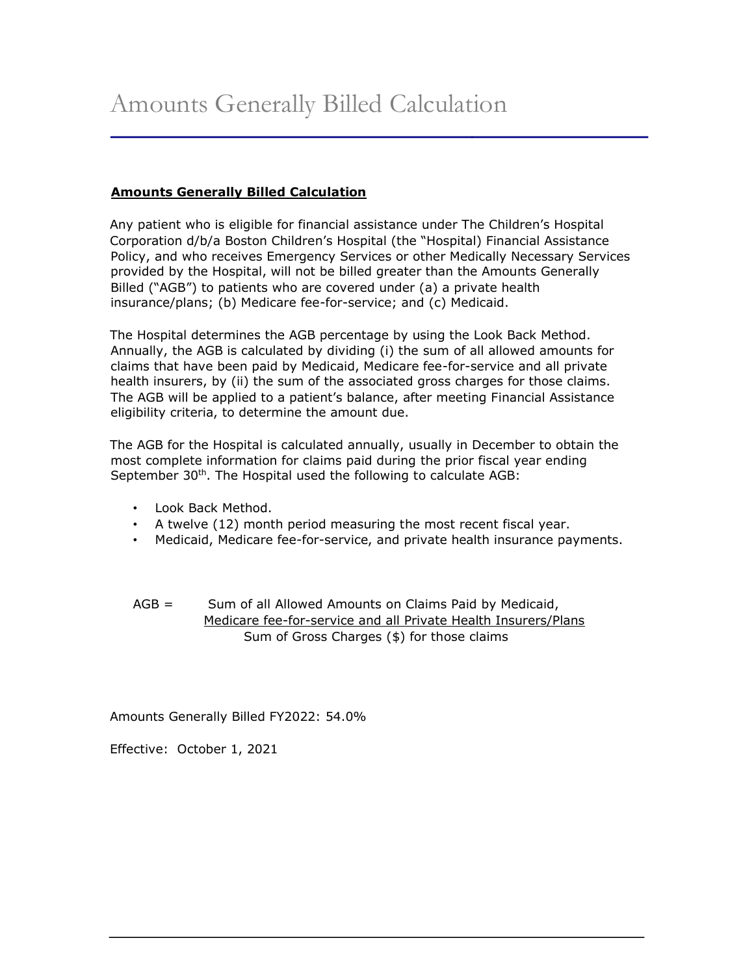## **Amounts Generally Billed Calculation**

Any patient who is eligible for financial assistance under The Children's Hospital Corporation d/b/a Boston Children's Hospital (the "Hospital) Financial Assistance Policy, and who receives Emergency Services or other Medically Necessary Services provided by the Hospital, will not be billed greater than the Amounts Generally Billed ("AGB") to patients who are covered under (a) a private health insurance/plans; (b) Medicare fee-for-service; and (c) Medicaid.

The Hospital determines the AGB percentage by using the Look Back Method. Annually, the AGB is calculated by dividing (i) the sum of all allowed amounts for claims that have been paid by Medicaid, Medicare fee-for-service and all private health insurers, by (ii) the sum of the associated gross charges for those claims. The AGB will be applied to a patient's balance, after meeting Financial Assistance eligibility criteria, to determine the amount due.

The AGB for the Hospital is calculated annually, usually in December to obtain the most complete information for claims paid during the prior fiscal year ending September 30<sup>th</sup>. The Hospital used the following to calculate AGB:

- Look Back Method.
- A twelve (12) month period measuring the most recent fiscal year.
- Medicaid, Medicare fee-for-service, and private health insurance payments.

AGB = Sum of all Allowed Amounts on Claims Paid by Medicaid, Medicare fee-for-service and all Private Health Insurers/Plans Sum of Gross Charges (\$) for those claims

Amounts Generally Billed FY2022: 54.0%

Effective: October 1, 2021